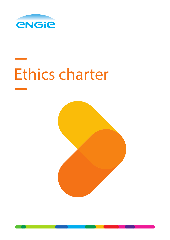

# Ethics charter

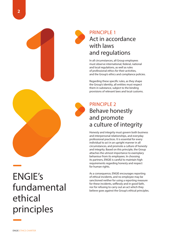

#### PRINCIPLE 1 Act in accordance with laws and regulations

In all circumstances, all Group employees must observe international, federal, national and local regulations, as well as rules of professional ethics for their activities, and the Group's ethics and compliance policies.

Regarding these specific rules, as they shape the Group's identity, all entities must respect them in substance, subject to the binding provisions of relevant laws and local customs.



#### PRINCIPLE 2 Behave honestly and promote a culture of integrity

Honesty and integrity must govern both business and interpersonal relationships, and everyday professional practices. It is essential for every individual to act in an upright manner in all circumstances, and promote a culture of honesty and integrity. Based on this principle, the Group attaches the utmost importance to exemplary behaviour from its employees. In choosing its partners, ENGIE is careful to maintain high requirements regarding honesty and respect for human rights.

As a consequence, ENGIE encourages reporting of ethical incidents, and no employee may be sanctioned neither for using a reporting measure for these incidents, selflessly and in good faith, nor for refusing to carry out an act which they believe goes against the Group's ethical principles.

# ENGIE's fundamental ethical principles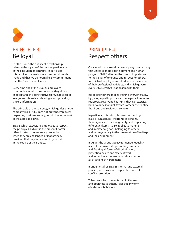

For the Group, the quality of a relationship relies on the loyalty of the parties, particularly in the execution of contracts. In particular, this requires that we honour the commitments made and that we do not make any commitment that the Group cannot keep.

Every time one of the Group's employees communicates with their contacts, they do so in good faith, in a constructive spirit, in respect of everyone's interests, and caring about providing sincere information.

The principle of transparency, which guides a large company like ENGIE, does not prevent employees respecting business secrecy, within the framework of the applicable laws.

ENGIE, which expects its employees to respect the principles laid out in the present Charter, offers in return the necessary protection when they are challenged or jeopardised, provided that they have acted in good faith in the course of their duties.



# Respect others

Convinced that a sustainable company is a company that unites economic development and human progress, ENGIE attaches the utmost importance to the values of tolerance and respect for others, to which all employees must adhere in the course of their professional activities, and which govern every ENGIE entity's relationship with them.

Respect for others implies treating everyone fairly, by giving equal importance to everyone. It requires reciprocity: everyone has rights they can exercise, but also duties to fulfil, towards others, their entity, the Group and society as a whole.

In particular, this principle covers respecting, in all circumstances, the rights of persons, their dignity and their singularity, and respecting different cultures. It also applies to material and immaterial goods belonging to others, and more generally to the preservation of heritage and the environment.

It guides the Group's policy for gender equality, respect for private life, promoting diversity and fighting all forms of discrimination, protecting health and safety at work, and in particular preventing and sanctioning all situations of harassment.

It underlies all of ENGIE's internal and external policies, and must even inspire the mode of conflict resolution.

Tolerance, which is manifested in kindness and openness to others, rules out any form of extremist behaviour.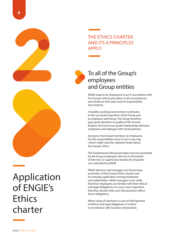

#### THE ETHICS CHARTER AND ITS 4 PRINCIPLES APPLY:

#### To all of the Group's employees and Group entities

ENGIE expects its employees to act in accordance with the Group's ethical principles, in all circumstances, and whatever their jobs, level of responsibility and contacts.

A healthy working environment contributes to the successful operation of the Group and to employee well-being. The Group therefore pays great attention to quality of life at work. Respect and trust must guide relationships between employees and dialogue with social partners.

Everyone, from board members to employees, has the responsibility never to act in any way which might raise the slightest doubt about the Group's ethics.

The fundamental ethical principles must be promoted by the Group employees who sit on the boards of directors or supervisory boards of companies not controlled by ENGIE.

ENGIE directors and managers are the primary promoters of the Group's Ethics charter and its everyday application among employees and stakeholders. While managers must verify that their employees are familiar with their ethical and legal obligations, it is even more important that they should make sure that practices reflect those obligations.

When using of sanctions in case of infringement of ethical and legal obligations, it is done in accordance with local law and practice.

## Application of ENGIE's **Ethics** charter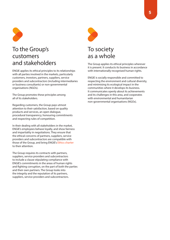

#### To the Group's customers and stakeholders

ENGIE applies its ethical principles to its relationships with all parties involved in the markets, particularly customers, investors, partners, suppliers, service providers and subcontractors (including intermediaries or business consultants) or non-governmental organisations (NGOs).

The Group promotes these principles among all of its stakeholders.

Regarding customers, the Group pays utmost attention to their satisfaction, based on quality products and services, an open dialogue, procedural transparency, honouring commitments and respecting rules of competition.

In their dealing with all stakeholders in the market, ENGIE's employees behave loyally, and show fairness and impartiality in negotiations. They ensure that the ethical concerns of partners, suppliers, service providers and subcontractors are compatible with those of the Group, and bring ENGIE's Ethics charter to their attention.

The Group requires its contracts with partners, suppliers, service providers and subcontractors to include a clause stipulating compliance with ENGIE's commitments in the areas of human rights and fighting corruption, on the part of both the parties and their own partners. The Group looks into the integrity and the reputation of its partners, suppliers, service providers and subcontractors.



#### To society as a whole

The Group applies its ethical principles wherever it is present. It conducts its business in accordance with internationally recognised human rights.

ENGIE is socially responsible and committed to respecting the environment and cultural diversity, and minimising its ecological impact in the communities where it develops its business. It communicates openly about its achievements and its challenges in this area, and cooperates with environmental and humanitarian non-governmental organisations (NGOs).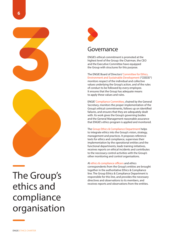

## The Group's ethics and compliance organisation



#### Governance

ENGIE's ethical commitment is promoted at the highest level of the Group: the Chairman, the CEO and the Executive Committee have equipped the Group with structures for this purpose.

The ENGIE Board of Directors' Committee for Ethics, Environment and Sustainable Development ("CEEDD") monitors respect of the individual and collective values underlying the Group's action, and of the rules of conduct to be followed by every employee. It ensures that the Group has adequate means to apply these values and rules.

ENGIE' Compliance Committee, chaired by the General Secretary, monitors the proper implementation of the Group's ethical commitments, follows up on identified failures, and ensures that they are adequately dealt with. Its work gives the Group's governing bodies and the General Management reasonable assurance that ENGIE's ethics program is applied and monitored.

The Group Ethics & Compliance Department helps to integrate ethics into the Group's vision, strategy, management and practices. It proposes reference texts for ethics and compliance, supervises their implementation by the operational entities and the functional departments, leads training initiatives, receives reports on ethical incidents and contributes to the necessary control activities with the Group's other monitoring and control organisations.

Al ethics & compliance officers and ethics correspondents from the Group's entities are brought together in the authoritative Ethics & Compliance line. The Group Ethics & Compliance Department is responsible for this line, and provides the necessary directives and observations to its members, and receives reports and observations from the entities.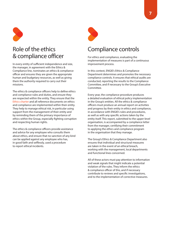

#### Role of the ethics & compliance officer

In every entity of sufficient independence and size, the manager, in agreement with the Ethics & Compliance line, nominates an ethics & compliance officer and ensures they are given the appropriate human and budgetary resources, as well as giving them the authority required to carry out their missions.

The ethics & compliance officers help to define ethics and compliance rules and duties, and ensure they are respected within the entity. They ensure that the Ethics charter and all reference documents on ethics and compliance are implemented within their entity. They help to manage ethical risk, in particular using support from the management of their entity and by reminding them of the primary importance of ethics within the Group, especially fighting corruption and respecting human rights.

The ethics & compliance officers provide assistance and advice for any employee who consults them about ethics, and ensure that no sanction of any kind can be applied against any employee who has, in good faith and selflessly, used a procedure to report ethical incidents.



#### Compliance controls

For ethics and compliance, evaluating the implementation of measures is part of a continuous improvement process.

In this context, ENGIE's Ethics & Compliance Department determines and promotes the necessary compliance controls. It ensures that ethical audits are conducted, reporting the results to the Compliance Committee, and if necessary to the Group's Executive Committee.

Every year, the compliance procedure produces a detailed evaluation of ethical policy implementation in the Group's entities. All the ethics & compliance officers must produce an annual report on activities and progress by their entity in ethics and compliance, in accordance with ENGIE's rules and procedures, as well as with any specific actions taken by the entity itself. This report, submitted to the upper-level organisation, is accompanied by a compliance letter from the manager, certifying their commitment to applying the ethics and compliance program in the organisation that they manage.

The Group's Ethics & Compliance Department also ensures that individual and structural measures are taken in the event of an ethical breach, working with the management, local departments and functional lines concerned.

All of these actors must pay attention to information and weak signals that might indicate a potential violation of the rules. They inform the ethics & compliance officer of this, and if necessary contribute to reviews and specific investigations, and to the implementation of corrective measures.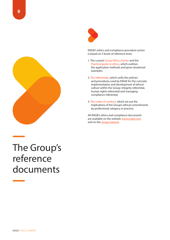



ENGIE's ethics and compliance procedure action is based on 3 levels of reference texts:

- 1. The current Group Ethics charter and the Practical guide to ethics, which outlines the application methods and gives situational examples.
- 2. The referentials, which unify the policies and procedures used by ENGIE for the concrete implementation and development of ethical culture within the Group: integrity referential, human rights referential and managing compliance referential.
- 3. The codes of conduct, which set out the implications of the Group's ethical commitments by professional category or practice.

All ENGIE's ethics and compliance documents are available on the website www.engie.com and on the **Group intranet**.

### The Group's reference documents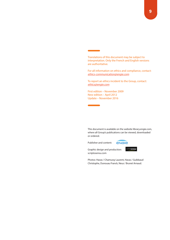Translations of this document may be subject to interpretation. Only the French and English versions are authoritative.

For all information on ethics and compliance, contact: ethics-communication@engie.com

To report an ethics incident to the Group, contact: ethics@engie.com

First edition – November 2009 New edition – April 2012 Update – November 2016

This document is available on the website library.engie.com, where all Group's publications can be viewed, downloaded or ordered.

Publisher and content:



*<u>xeizu\$ENSU</u>* 

Graphic design and production: scriptosensu.com

Photos: Havas / Chamussy Laurent, Havas / Guibbaud Christophe, Dunouau Franck, Neus / Brunet Arnaud.